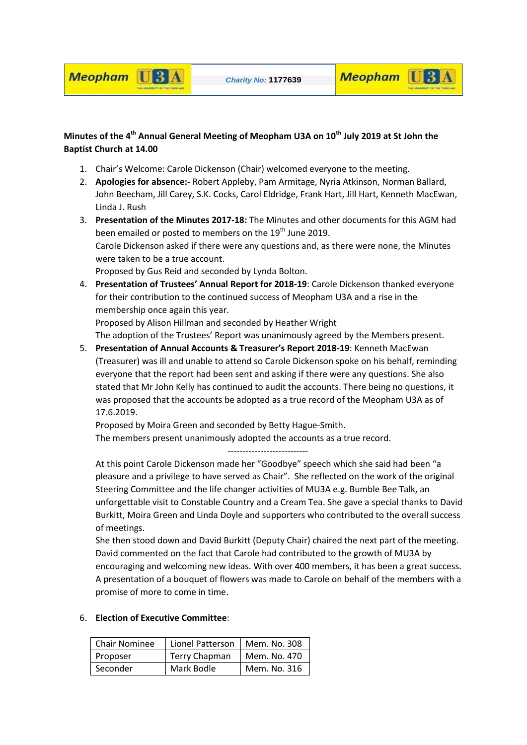

## **Meopham U3A**

## **Minutes of the 4th Annual General Meeting of Meopham U3A on 10th July 2019 at St John the Baptist Church at 14.00**

- 1. Chair's Welcome: Carole Dickenson (Chair) welcomed everyone to the meeting.
- 2. **Apologies for absence:-** Robert Appleby, Pam Armitage, Nyria Atkinson, Norman Ballard, John Beecham, Jill Carey, S.K. Cocks, Carol Eldridge, Frank Hart, Jill Hart, Kenneth MacEwan, Linda J. Rush
- 3. **Presentation of the Minutes 2017-18:** The Minutes and other documents for this AGM had been emailed or posted to members on the 19<sup>th</sup> June 2019. Carole Dickenson asked if there were any questions and, as there were none, the Minutes were taken to be a true account. Proposed by Gus Reid and seconded by Lynda Bolton.
- 4. **Presentation of Trustees' Annual Report for 2018-19**: Carole Dickenson thanked everyone for their contribution to the continued success of Meopham U3A and a rise in the membership once again this year.

Proposed by Alison Hillman and seconded by Heather Wright

The adoption of the Trustees' Report was unanimously agreed by the Members present.

5. **Presentation of Annual Accounts & Treasurer's Report 2018-19**: Kenneth MacEwan (Treasurer) was ill and unable to attend so Carole Dickenson spoke on his behalf, reminding everyone that the report had been sent and asking if there were any questions. She also stated that Mr John Kelly has continued to audit the accounts. There being no questions, it was proposed that the accounts be adopted as a true record of the Meopham U3A as of 17.6.2019.

Proposed by Moira Green and seconded by Betty Hague-Smith. The members present unanimously adopted the accounts as a true record.

---------------------------

At this point Carole Dickenson made her "Goodbye" speech which she said had been "a pleasure and a privilege to have served as Chair". She reflected on the work of the original Steering Committee and the life changer activities of MU3A e.g. Bumble Bee Talk, an unforgettable visit to Constable Country and a Cream Tea. She gave a special thanks to David Burkitt, Moira Green and Linda Doyle and supporters who contributed to the overall success of meetings.

She then stood down and David Burkitt (Deputy Chair) chaired the next part of the meeting. David commented on the fact that Carole had contributed to the growth of MU3A by encouraging and welcoming new ideas. With over 400 members, it has been a great success. A presentation of a bouquet of flowers was made to Carole on behalf of the members with a promise of more to come in time.

## 6. **Election of Executive Committee**:

| Chair Nominee | Lionel Patterson     | Mem. No. 308 |
|---------------|----------------------|--------------|
| Proposer      | <b>Terry Chapman</b> | Mem. No. 470 |
| Seconder      | Mark Bodle           | Mem. No. 316 |